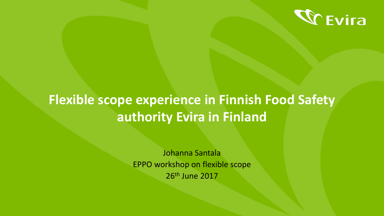

# **Flexible scope experience in Finnish Food Safety authority Evira in Finland**

Johanna Santala EPPO workshop on flexible scope 26th June 2017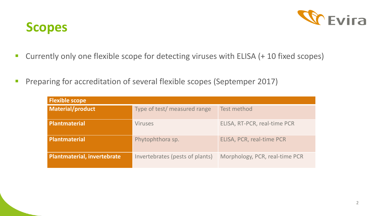

#### **Scopes**

- **Currently only one flexible scope for detecting viruses with ELISA (+ 10 fixed scopes)**
- **Preparing for accreditation of several flexible scopes (Septemper 2017)**

| <b>Flexible scope</b>              |                                 |                                |
|------------------------------------|---------------------------------|--------------------------------|
| Material/product                   | Type of test/ measured range    | <b>Test method</b>             |
| Plantmaterial                      | <b>Viruses</b>                  | ELISA, RT-PCR, real-time PCR   |
| Plantmaterial                      | Phytophthora sp.                | ELISA, PCR, real-time PCR      |
| <b>Plantmaterial, invertebrate</b> | Invertebrates (pests of plants) | Morphology, PCR, real-time PCR |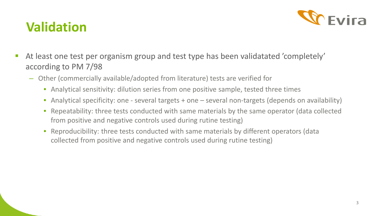

### **Validation**

- At least one test per organism group and test type has been validatated 'completely' according to PM 7/98
	- Other (commercially available/adopted from literature) tests are verified for
		- Analytical sensitivity: dilution series from one positive sample, tested three times
		- Analytical specificity: one several targets + one several non-targets (depends on availability)
		- Repeatability: three tests conducted with same materials by the same operator (data collected from positive and negative controls used during rutine testing)
		- Reproducibility: three tests conducted with same materials by different operators (data collected from positive and negative controls used during rutine testing)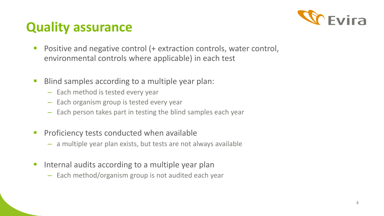

## **Quality assurance**

- **Positive and negative control (+ extraction controls, water control,** environmental controls where applicable) in each test
- **Blind samples according to a multiple year plan:** 
	- Each method is tested every year
	- Each organism group is tested every year
	- Each person takes part in testing the blind samples each year
- **Proficiency tests conducted when available** 
	- a multiple year plan exists, but tests are not always available
- **If** Internal audits according to a multiple year plan
	- Each method/organism group is not audited each year